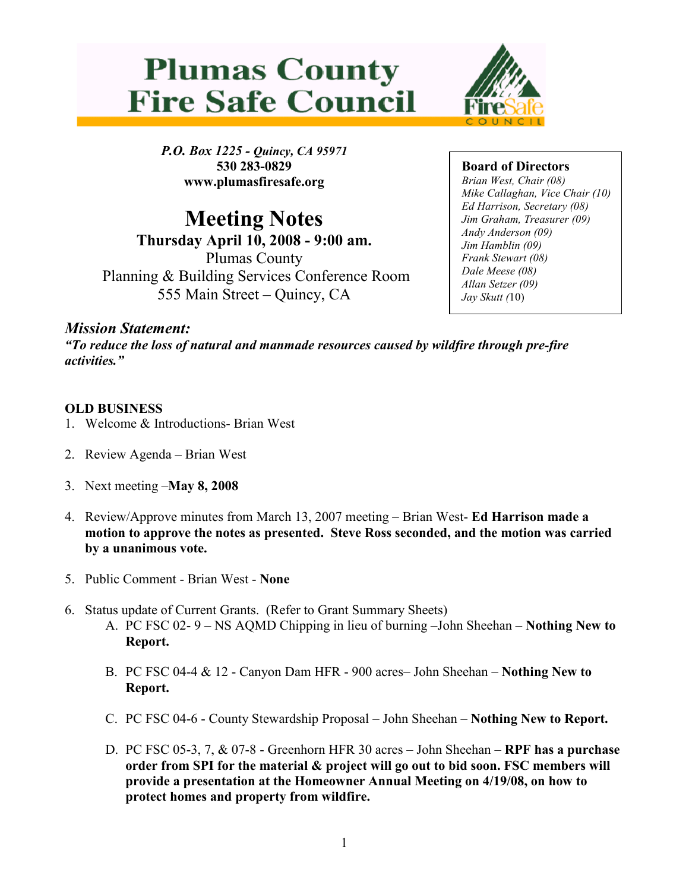



P.O. Box 1225 - Quincy, CA 95971 530 283-0829 www.plumasfiresafe.org

Meeting Notes Thursday April 10, 2008 - 9:00 am. Plumas County Planning & Building Services Conference Room 555 Main Street – Quincy, CA

Board of Directors Brian West, Chair (08) Mike Callaghan, Vice Chair (10) Ed Harrison, Secretary (08) Jim Graham, Treasurer (09) Andy Anderson (09) Jim Hamblin (09) Frank Stewart (08) Dale Meese (08) Allan Setzer (09) Jay Skutt (10)

## Mission Statement:

"To reduce the loss of natural and manmade resources caused by wildfire through pre-fire activities."

## OLD BUSINESS

- 1. Welcome & Introductions- Brian West
- 2. Review Agenda Brian West
- 3. Next meeting –May 8, 2008
- 4. Review/Approve minutes from March 13, 2007 meeting Brian West- Ed Harrison made a motion to approve the notes as presented. Steve Ross seconded, and the motion was carried by a unanimous vote.
- 5. Public Comment Brian West None
- 6. Status update of Current Grants. (Refer to Grant Summary Sheets)
	- A. PC FSC 02- 9 NS AQMD Chipping in lieu of burning –John Sheehan Nothing New to Report.
	- B. PC FSC 04-4 & 12 Canyon Dam HFR 900 acres– John Sheehan Nothing New to Report.
	- C. PC FSC 04-6 County Stewardship Proposal John Sheehan Nothing New to Report.
	- D. PC FSC 05-3, 7, & 07-8 Greenhorn HFR 30 acres John Sheehan RPF has a purchase order from SPI for the material & project will go out to bid soon. FSC members will provide a presentation at the Homeowner Annual Meeting on 4/19/08, on how to protect homes and property from wildfire.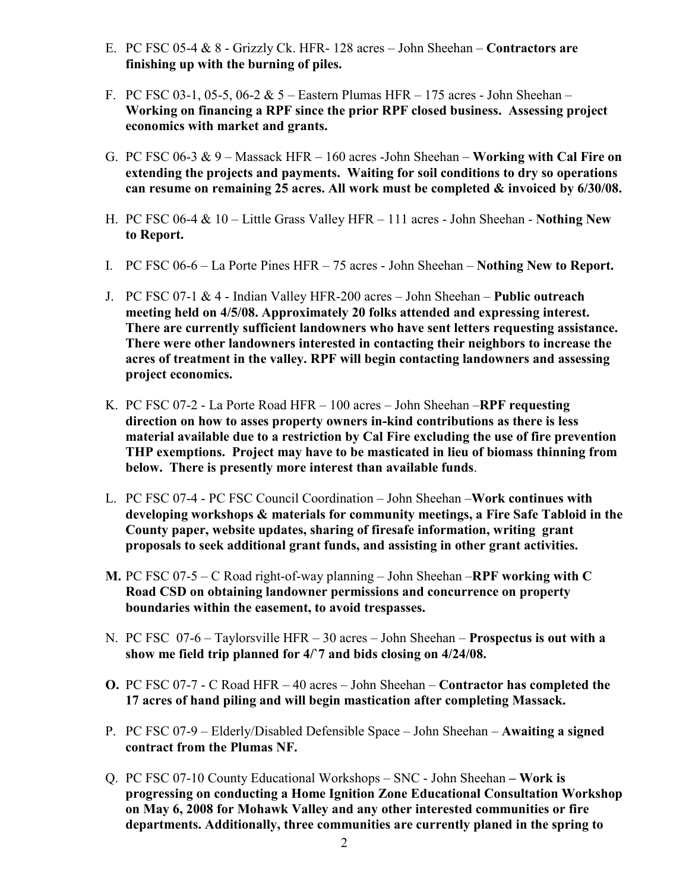- E. PC FSC 05-4 & 8 Grizzly Ck. HFR- 128 acres John Sheehan Contractors are finishing up with the burning of piles.
- F. PC FSC 03-1, 05-5, 06-2 & 5 Eastern Plumas HFR 175 acres John Sheehan Working on financing a RPF since the prior RPF closed business. Assessing project economics with market and grants.
- G. PC FSC 06-3  $& 9$  Massack HFR 160 acres -John Sheehan Working with Cal Fire on extending the projects and payments. Waiting for soil conditions to dry so operations can resume on remaining 25 acres. All work must be completed  $\&$  invoiced by 6/30/08.
- H. PC FSC 06-4  $& 10 -$  Little Grass Valley HFR 111 acres John Sheehan Nothing New to Report.
- I. PC FSC 06-6 La Porte Pines HFR 75 acres John Sheehan Nothing New to Report.
- J. PC FSC 07-1 & 4 Indian Valley HFR-200 acres John Sheehan Public outreach meeting held on 4/5/08. Approximately 20 folks attended and expressing interest. There are currently sufficient landowners who have sent letters requesting assistance. There were other landowners interested in contacting their neighbors to increase the acres of treatment in the valley. RPF will begin contacting landowners and assessing project economics.
- K. PC FSC 07-2 La Porte Road HFR 100 acres John Sheehan –RPF requesting direction on how to asses property owners in-kind contributions as there is less material available due to a restriction by Cal Fire excluding the use of fire prevention THP exemptions. Project may have to be masticated in lieu of biomass thinning from below. There is presently more interest than available funds.
- L. PC FSC 07-4 PC FSC Council Coordination John Sheehan –Work continues with developing workshops & materials for community meetings, a Fire Safe Tabloid in the County paper, website updates, sharing of firesafe information, writing grant proposals to seek additional grant funds, and assisting in other grant activities.
- **M.** PC FSC 07-5 C Road right-of-way planning John Sheehan –RPF working with C Road CSD on obtaining landowner permissions and concurrence on property boundaries within the easement, to avoid trespasses.
- N. PC FSC 07-6 Taylorsville HFR 30 acres John Sheehan Prospectus is out with a show me field trip planned for 4/`7 and bids closing on 4/24/08.
- O. PC FSC 07-7 C Road HFR 40 acres John Sheehan Contractor has completed the 17 acres of hand piling and will begin mastication after completing Massack.
- P. PC FSC 07-9 Elderly/Disabled Defensible Space John Sheehan Awaiting a signed contract from the Plumas NF.
- Q. PC FSC 07-10 County Educational Workshops SNC John Sheehan Work is progressing on conducting a Home Ignition Zone Educational Consultation Workshop on May 6, 2008 for Mohawk Valley and any other interested communities or fire departments. Additionally, three communities are currently planed in the spring to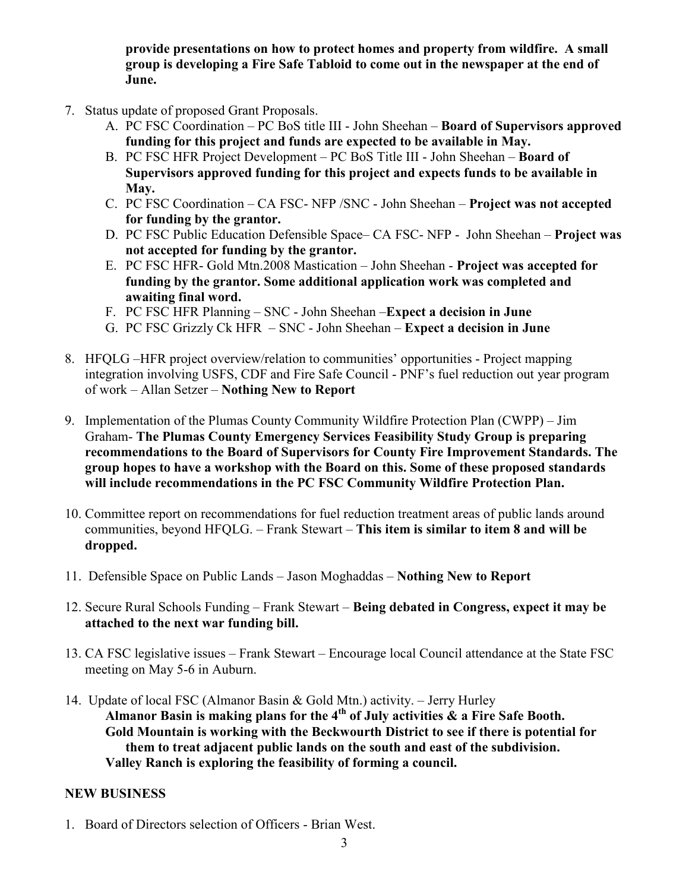provide presentations on how to protect homes and property from wildfire. A small group is developing a Fire Safe Tabloid to come out in the newspaper at the end of June.

- 7. Status update of proposed Grant Proposals.
	- A. PC FSC Coordination PC BoS title III John Sheehan Board of Supervisors approved funding for this project and funds are expected to be available in May.
	- B. PC FSC HFR Project Development PC BoS Title III John Sheehan Board of Supervisors approved funding for this project and expects funds to be available in May.
	- C. PC FSC Coordination CA FSC- NFP /SNC John Sheehan Project was not accepted for funding by the grantor.
	- D. PC FSC Public Education Defensible Space– CA FSC- NFP John Sheehan Project was not accepted for funding by the grantor.
	- E. PC FSC HFR- Gold Mtn.2008 Mastication John Sheehan Project was accepted for funding by the grantor. Some additional application work was completed and awaiting final word.
	- F. PC FSC HFR Planning SNC John Sheehan –Expect a decision in June
	- G. PC FSC Grizzly Ck HFR SNC John Sheehan Expect a decision in June
- 8. HFQLG –HFR project overview/relation to communities' opportunities Project mapping integration involving USFS, CDF and Fire Safe Council - PNF's fuel reduction out year program of work – Allan Setzer – Nothing New to Report
- 9. Implementation of the Plumas County Community Wildfire Protection Plan (CWPP) Jim Graham- The Plumas County Emergency Services Feasibility Study Group is preparing recommendations to the Board of Supervisors for County Fire Improvement Standards. The group hopes to have a workshop with the Board on this. Some of these proposed standards will include recommendations in the PC FSC Community Wildfire Protection Plan.
- 10. Committee report on recommendations for fuel reduction treatment areas of public lands around communities, beyond HFQLG. – Frank Stewart – This item is similar to item 8 and will be dropped.
- 11. Defensible Space on Public Lands Jason Moghaddas Nothing New to Report
- 12. Secure Rural Schools Funding Frank Stewart Being debated in Congress, expect it may be attached to the next war funding bill.
- 13. CA FSC legislative issues Frank Stewart Encourage local Council attendance at the State FSC meeting on May 5-6 in Auburn.
- 14. Update of local FSC (Almanor Basin & Gold Mtn.) activity. Jerry Hurley Almanor Basin is making plans for the  $4<sup>th</sup>$  of July activities  $\&$  a Fire Safe Booth. Gold Mountain is working with the Beckwourth District to see if there is potential for them to treat adjacent public lands on the south and east of the subdivision. Valley Ranch is exploring the feasibility of forming a council.

## NEW BUSINESS

1. Board of Directors selection of Officers - Brian West.